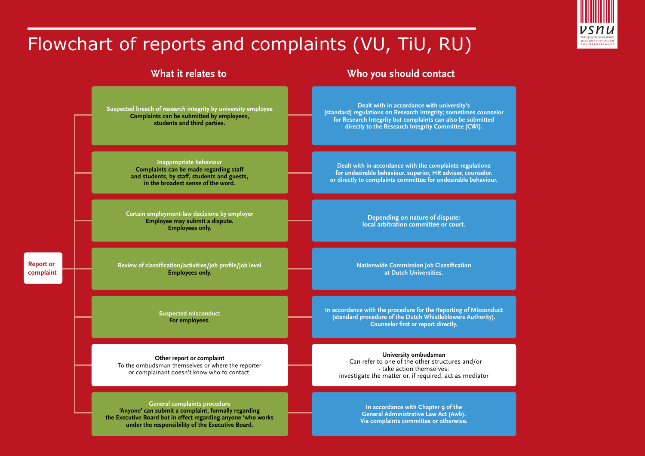# **EXECUTION OF UNIVERSIDE**<br>THE NETHERLAND

## Flowchart of reports and complaints (VU, TiU, RU)

**Suspected breach of research integrity by university employee Complaints can be submitted by employees, students and third parties.**

> **Inappropriate behaviour Complaints can be made regarding staff and students, by staff, students and guests, in the broadest sense of the word.**

**Certain employment-law decisions by employer Employee may submit a dispute. Employees only.** 

**Review of classification/activities/job profile/job level Employees only.**

**Report or complaint**

> **Suspected misconduct For employees.**

**Other report or complaint**  To the ombudsman themselves or where the reporter or complainant doesn't know who to contact.

**General complaints procedure 'Anyone' can submit a complaint, formally regarding the Executive Board but in effect regarding anyone 'who works under the responsibility of the Executive Board.** 

### **What it relates to Who you should contact**

**Dealt with in accordance with university's (standard) regulations on Research Integrity; sometimes counselor for Research Integrity but complaints can also be submitted directly to the Research Integrity Committee (CWI).**

**Dealt with in accordance with the complaints regulations for undesirable behaviour. superior, HR adviser, counselor. or directly to complaints committee for undesirable behaviour.**

> **Depending on nature of dispute: local arbitration committee or court.**

**Nationwide Commission Job Classification at Dutch Universities.**

**In accordance with the procedure for the Reporting of Misconduct (standard procedure of the Dutch Whistleblowers Authority). Counselor first or report directly.**

**University ombudsman** - Can refer to one of the other structures and/or - take action themselves: investigate the matter or, if required, act as mediator

> **In accordance with Chapter 9 of the General Administrative Law Act (Awb). Via complaints committee or otherwise.**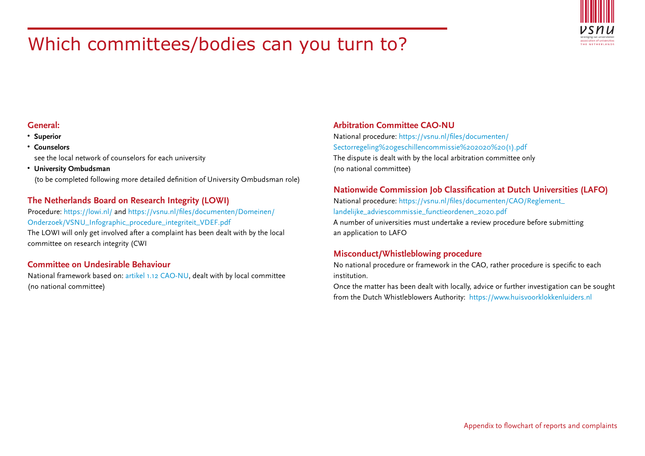

## Which committees/bodies can you turn to?

#### **General:**

- **• Superior**
- **Counselors**  see the local network of counselors for each university
- **University Ombudsman**

(to be completed following more detailed definition of University Ombudsman role)

#### **The Netherlands Board on Research Integrity (LOWI)**

Procedure:<https://lowi.nl/>and [https://vsnu.nl/files/documenten/Domeinen/](https://vsnu.nl/files/documenten/Domeinen/Onderzoek/VSNU_Infographic_procedure_integriteit_VDEF.pdf) [Onderzoek/VSNU\\_Infographic\\_procedure\\_integriteit\\_VDEF.pdf](https://vsnu.nl/files/documenten/Domeinen/Onderzoek/VSNU_Infographic_procedure_integriteit_VDEF.pdf) The LOWI will only get involved after a complaint has been dealt with by the local committee on research integrity (CWI

#### **Committee on Undesirable Behaviour**

National framework based on: artikel 1.12 CAO-NU, dealt with by local committee (no national committee)

#### **Arbitration Committee CAO-NU**

National procedure: [https://vsnu.nl/files/documenten/](https://vsnu.nl/files/documenten/Sectorregeling%20geschillencommissie%202020%20(1).pdf) [Sectorregeling%20geschillencommissie%202020%20\(1\).pdf](https://vsnu.nl/files/documenten/Sectorregeling%20geschillencommissie%202020%20(1).pdf) The dispute is dealt with by the local arbitration committee only (no national committee)

#### **Nationwide Commission Job Classification at Dutch Universities (LAFO)**

National procedure: [https://vsnu.nl/files/documenten/CAO/Reglement\\_](https://vsnu.nl/files/documenten/CAO/Reglement_landelijke_adviescommissie_functieordenen_2020.pdf) [landelijke\\_adviescommissie\\_functieordenen\\_2020.pdf](https://vsnu.nl/files/documenten/CAO/Reglement_landelijke_adviescommissie_functieordenen_2020.pdf) A number of universities must undertake a review procedure before submitting an application to LAFO

#### **Misconduct/Whistleblowing procedure**

No national procedure or framework in the CAO, rather procedure is specific to each institution.

Once the matter has been dealt with locally, advice or further investigation can be sought from the Dutch Whistleblowers Authority: <https://www.huisvoorklokkenluiders.nl>